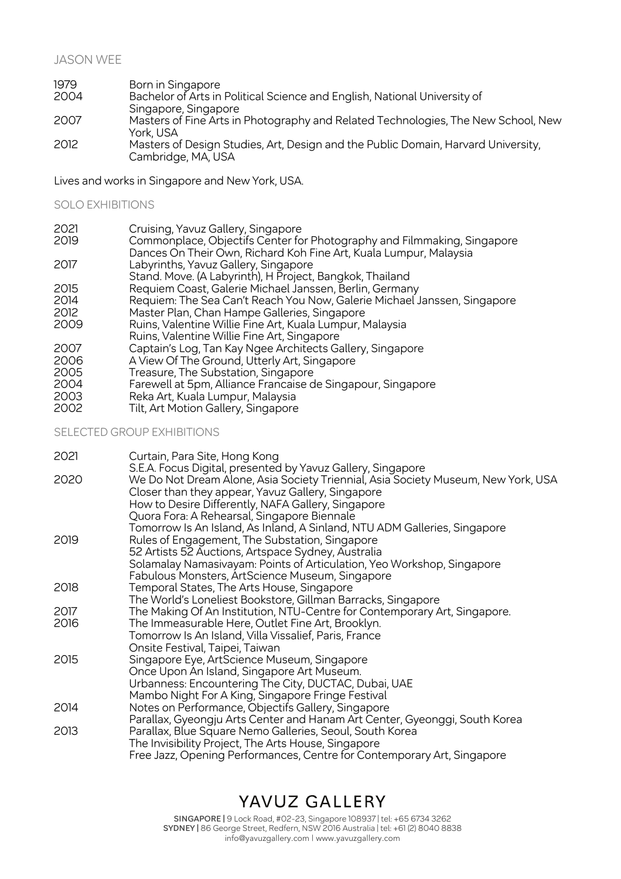### JASON WEE

| 1979 | Born in Singapore                                                                 |
|------|-----------------------------------------------------------------------------------|
| 2004 | Bachelor of Arts in Political Science and English, National University of         |
|      | Singapore, Singapore                                                              |
| 2007 | Masters of Fine Arts in Photography and Related Technologies, The New School, New |
|      | York, USA                                                                         |
| 2012 | Masters of Design Studies, Art, Design and the Public Domain, Harvard University, |
|      | Cambridge, MA, USA                                                                |

Lives and works in Singapore and New York, USA.

#### SOLO EXHIBITIONS

- 2021 Cruising, Yavuz Gallery, Singapore
- Commonplace, Objectifs Center for Photography and Filmmaking, Singapore Dances On Their Own, Richard Koh Fine Art, Kuala Lumpur, Malaysia
- 2017 Labyrinths, Yavuz Gallery, Singapore
- Stand. Move. (A Labyrinth), H Project, Bangkok, Thailand
- 2015 Requiem Coast, Galerie Michael Janssen, Berlin, Germany
- 2014 Requiem: The Sea Can't Reach You Now, Galerie Michael Janssen, Singapore<br>2012 Master Plan, Chan Hampe Galleries, Singapore
- 2012 Master Plan, Chan Hampe Galleries, Singapore
- Ruins, Valentine Willie Fine Art, Kuala Lumpur, Malaysia
- Ruins, Valentine Willie Fine Art, Singapore
- 2007 Captain's Log, Tan Kay Ngee Architects Gallery, Singapore<br>2006 A View Of The Ground, Utterly Art, Singapore
- 2006 A View Of The Ground, Utterly Art, Singapore<br>2005 Treasure. The Substation. Singapore
- 2005 Treasure, The Substation, Singapore<br>2004 Farewell at 5pm Alliance Francaise d
- 2004 Farewell at 5pm, Alliance Francaise de Singapour, Singapore
- 2003 Reka Art, Kuala Lumpur, Malaysia
- Tilt, Art Motion Gallery, Singapore

### SELECTED GROUP EXHIBITIONS

| 2021 | Curtain, Para Site, Hong Kong                                                     |
|------|-----------------------------------------------------------------------------------|
|      | S.E.A. Focus Digital, presented by Yavuz Gallery, Singapore                       |
| 2020 | We Do Not Dream Alone, Asia Society Triennial, Asia Society Museum, New York, USA |
|      | Closer than they appear, Yavuz Gallery, Singapore                                 |
|      | How to Desire Differently, NAFA Gallery, Singapore                                |
|      | Quora Fora: A Rehearsal, Singapore Biennale                                       |
|      | Tomorrow Is An Island, As Inland, A Sinland, NTU ADM Galleries, Singapore         |
| 2019 | Rules of Engagement, The Substation, Singapore                                    |
|      | 52 Artists 52 Auctions, Artspace Sydney, Australia                                |
|      | Solamalay Namasivayam: Points of Articulation, Yeo Workshop, Singapore            |
|      | Fabulous Monsters, ArtScience Museum, Singapore                                   |
| 2018 | Temporal States, The Arts House, Singapore                                        |
|      | The World's Loneliest Bookstore, Gillman Barracks, Singapore                      |
| 2017 | The Making Of An Institution, NTU-Centre for Contemporary Art, Singapore.         |
| 2016 | The Immeasurable Here, Outlet Fine Art, Brooklyn.                                 |
|      | Tomorrow Is An Island, Villa Vissalief, Paris, France                             |
|      | Onsite Festival, Taipei, Taiwan                                                   |
| 2015 | Singapore Eye, ArtScience Museum, Singapore                                       |
|      | Once Upon An Island, Singapore Art Museum.                                        |
|      | Urbanness: Encountering The City, DUCTAC, Dubai, UAE                              |
|      | Mambo Night For A King, Singapore Fringe Festival                                 |
| 2014 | Notes on Performance, Objectifs Gallery, Singapore                                |
|      | Parallax, Gyeongju Arts Center and Hanam Art Center, Gyeonggi, South Korea        |
| 2013 | Parallax, Blue Square Nemo Galleries, Seoul, South Korea                          |
|      | The Invisibility Project, The Arts House, Singapore                               |
|      | Free Jazz, Opening Performances, Centre for Contemporary Art, Singapore           |

### YAVUZ GALLERY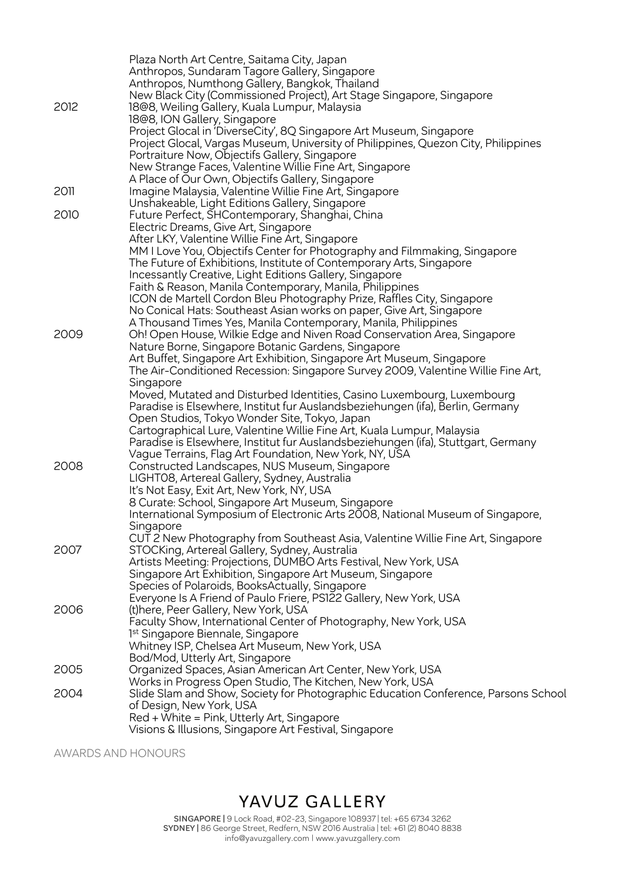|      | Plaza North Art Centre, Saitama City, Japan                                        |
|------|------------------------------------------------------------------------------------|
|      | Anthropos, Sundaram Tagore Gallery, Singapore                                      |
|      | Anthropos, Numthong Gallery, Bangkok, Thailand                                     |
|      | New Black City (Commissioned Project), Art Stage Singapore, Singapore              |
| 2012 | 18@8, Weiling Gallery, Kuala Lumpur, Malaysia                                      |
|      | 18@8, ION Gallery, Singapore                                                       |
|      | Project Glocal in 'DiverseCity', 8Q Singapore Art Museum, Singapore                |
|      | Project Glocal, Vargas Museum, University of Philippines, Quezon City, Philippines |
|      | Portraiture Now, Objectifs Gallery, Singapore                                      |
|      |                                                                                    |
|      | New Strange Faces, Valentine Willie Fine Art, Singapore                            |
|      | A Place of Our Own, Objectifs Gallery, Singapore                                   |
| 2011 | Imagine Malaysia, Valentine Willie Fine Art, Singapore                             |
|      | Unshakeable, Light Editions Gallery, Singapore                                     |
| 2010 | Future Perfect, SHContemporary, Shanghai, China                                    |
|      | Electric Dreams, Give Art, Singapore                                               |
|      | After LKY, Valentine Willie Fine Art, Singapore                                    |
|      | MM I Love You, Objectifs Center for Photography and Filmmaking, Singapore          |
|      | The Future of Exhibitions, Institute of Contemporary Arts, Singapore               |
|      | Incessantly Creative, Light Editions Gallery, Singapore                            |
|      | Faith & Reason, Manila Contemporary, Manila, Philippines                           |
|      | ICON de Martell Cordon Bleu Photography Prize, Raffles City, Singapore             |
|      | No Conical Hats: Southeast Asian works on paper, Give Art, Singapore               |
|      | A Thousand Times Yes, Manila Contemporary, Manila, Philippines                     |
| 2009 | Oh! Open House, Wilkie Edge and Niven Road Conservation Area, Singapore            |
|      | Nature Borne, Singapore Botanic Gardens, Singapore                                 |
|      | Art Buffet, Singapore Art Exhibition, Singapore Art Museum, Singapore              |
|      | The Air-Conditioned Recession: Singapore Survey 2009, Valentine Willie Fine Art,   |
|      | Singapore                                                                          |
|      | Moved, Mutated and Disturbed Identities, Casino Luxembourg, Luxembourg             |
|      | Paradise is Elsewhere, Institut fur Auslandsbeziehungen (ifa), Berlin, Germany     |
|      | Open Studios, Tokyo Wonder Site, Tokyo, Japan                                      |
|      | Cartographical Lure, Valentine Willie Fine Art, Kuala Lumpur, Malaysia             |
|      | Paradise is Elsewhere, Institut fur Auslandsbeziehungen (ifa), Stuttgart, Germany  |
|      |                                                                                    |
| 2008 | Vague Terrains, Flag Art Foundation, New York, NY, USA                             |
|      | Constructed Landscapes, NUS Museum, Singapore                                      |
|      | LIGHTO8, Artereal Gallery, Sydney, Australia                                       |
|      | It's Not Easy, Exit Art, New York, NY, USA                                         |
|      | 8 Curate: School, Singapore Art Museum, Singapore                                  |
|      | International Symposium of Electronic Arts 2008, National Museum of Singapore,     |
|      | Singapore                                                                          |
|      | CUT 2 New Photography from Southeast Asia, Valentine Willie Fine Art, Singapore    |
| 2007 | STOCKing, Artereal Gallery, Sydney, Australia                                      |
|      | Artists Meeting: Projections, DUMBO Arts Festival, New York, USA                   |
|      | Singapore Art Exhibition, Singapore Art Museum, Singapore                          |
|      | Species of Polaroids, BooksActually, Singapore                                     |
|      | Everyone Is A Friend of Paulo Friere, PS122 Gallery, New York, USA                 |
| 2006 | (t) here, Peer Gallery, New York, USA                                              |
|      | Faculty Show, International Center of Photography, New York, USA                   |
|      | 1 <sup>st</sup> Singapore Biennale, Singapore                                      |
|      | Whitney ISP, Chelsea Art Museum, New York, USA                                     |
|      | Bod/Mod, Utterly Art, Singapore                                                    |
| 2005 | Organized Spaces, Asian American Art Center, New York, USA                         |
|      | Works in Progress Open Studio, The Kitchen, New York, USA                          |
| 2004 | Slide Slam and Show, Society for Photographic Education Conference, Parsons School |
|      | of Design, New York, USA                                                           |
|      | Red + White = Pink, Utterly Art, Singapore                                         |
|      | Visions & Illusions, Singapore Art Festival, Singapore                             |
|      |                                                                                    |

AWARDS AND HONOURS

# YAVUZ GALLERY